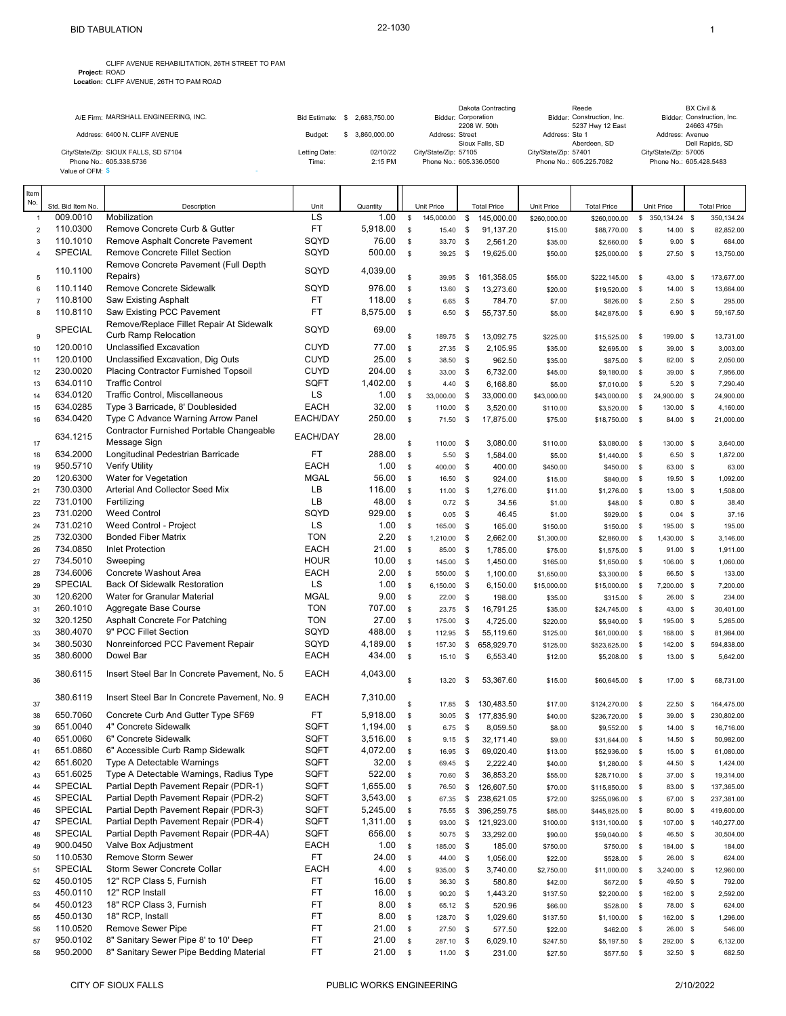|                                       |                  |              |                       | Dakota Contracting                  |                       | Reede                                          |                       | BX Civil &                                |
|---------------------------------------|------------------|--------------|-----------------------|-------------------------------------|-----------------------|------------------------------------------------|-----------------------|-------------------------------------------|
| A/E Firm: MARSHALL ENGINEERING, INC.  | Bid Estimate: \$ | 2.683.750.00 |                       | Bidder: Corporation<br>2208 W. 50th |                       | Bidder: Construction, Inc.<br>5237 Hwy 12 East |                       | Bidder: Construction, Inc.<br>24663 475th |
| Address: 6400 N. CLIFF AVENUE         | Budget:          | 3.860.000.00 | Address: Street       | Sioux Falls, SD                     | Address: Ste 1        | Aberdeen, SD                                   | Address: Avenue       | Dell Rapids, SD                           |
| City/State/Zip: SIOUX FALLS, SD 57104 | Letting Date:    | 02/10/22     | City/State/Zip: 57105 |                                     | City/State/Zip: 57401 |                                                | City/State/Zip: 57005 |                                           |
| Phone No.: 605.338.5736               | Time:            | 2:15 PM      |                       | Phone No.: 605.336.0500             |                       | Phone No.: 605.225.7082                        |                       | Phone No.: 605.428.5483                   |
| Value of OFM: \$                      |                  |              |                       |                                     |                       |                                                |                       |                                           |

| ltem           |                      |                                                                           |                            |                |                            |                     |                     |                       |              |                    |              |                           |                       |
|----------------|----------------------|---------------------------------------------------------------------------|----------------------------|----------------|----------------------------|---------------------|---------------------|-----------------------|--------------|--------------------|--------------|---------------------------|-----------------------|
| No.            | Std. Bid Item No.    | Description                                                               | Unit                       | Quantity       |                            | Unit Price          |                     | <b>Total Price</b>    | Unit Price   | <b>Total Price</b> |              | Unit Price                | <b>Total Price</b>    |
| $\mathbf{1}$   | 009.0010             | Mobilization                                                              | LS                         | 1.00           | $\mathbb S$                | 145,000.00          | \$                  | 145,000.00            | \$260,000.00 | \$260,000.00       |              | $$350,134.24$ \$          | 350, 134.24           |
| $\sqrt{2}$     | 110.0300             | Remove Concrete Curb & Gutter                                             | <b>FT</b>                  | 5,918.00       | \$                         | 15.40               | \$                  | 91,137.20             | \$15.00      | \$88,770.00        | \$           | 14.00 \$                  | 82,852.00             |
| 3              | 110.1010             | Remove Asphalt Concrete Pavement                                          | SQYD                       | 76.00          | \$                         | 33.70               | \$                  | 2,561.20              | \$35.00      | \$2,660.00         | \$           | $9.00$ \$                 | 684.00                |
| $\sqrt{4}$     | SPECIAL              | <b>Remove Concrete Fillet Section</b>                                     | SQYD                       | 500.00         | \$                         | 39.25               | $\mathbf{\$}$       | 19,625.00             | \$50.00      | \$25,000.00 \$     |              | 27.50 \$                  | 13,750.00             |
|                | 110.1100             | Remove Concrete Pavement (Full Depth                                      | SQYD                       | 4,039.00       |                            |                     |                     |                       |              |                    |              |                           |                       |
| 5              |                      | Repairs)                                                                  |                            |                | \$                         | 39.95               | \$                  | 161,358.05            | \$55.00      | \$222,145.00 \$    |              | 43.00 \$                  | 173,677.00            |
| 6              | 110.1140             | Remove Concrete Sidewalk                                                  | SQYD                       | 976.00         | $\mathbb S$                | 13.60               | \$                  | 13,273.60             | \$20.00      | \$19,520.00        | - \$         | 14.00 \$                  | 13,664.00             |
| $\overline{7}$ | 110.8100             | Saw Existing Asphalt                                                      | <b>FT</b>                  | 118.00         | \$                         | 6.65                | \$                  | 784.70                | \$7.00       | \$826.00           | <b>S</b>     | $2.50$ \$                 | 295.00                |
| 8              | 110.8110             | Saw Existing PCC Pavement                                                 | <b>FT</b>                  | 8,575.00       | $\mathfrak s$              | 6.50                | \$                  | 55,737.50             | \$5.00       | \$42,875.00        | $\sqrt{3}$   | $6.90$ \$                 | 59,167.50             |
|                | SPECIAL              | Remove/Replace Fillet Repair At Sidewalk                                  | SQYD                       | 69.00          |                            |                     |                     |                       |              |                    |              |                           |                       |
| 9              |                      | Curb Ramp Relocation                                                      |                            |                | \$                         | 189.75              | - \$                | 13,092.75             | \$225.00     | \$15,525.00        | $\mathbf{s}$ | 199.00 \$                 | 13,731.00             |
| 10             | 120.0010<br>120.0100 | <b>Unclassified Excavation</b>                                            | <b>CUYD</b><br><b>CUYD</b> | 77.00<br>25.00 | \$                         | 27.35               | $\mathbf s$         | 2,105.95              | \$35.00      | \$2,695.00         | $\mathbb{S}$ | 39.00 \$                  | 3,003.00              |
| 11             | 230.0020             | Unclassified Excavation, Dig Outs<br>Placing Contractor Furnished Topsoil | <b>CUYD</b>                | 204.00         | $\mathbb S$<br>$\mathbb S$ | 38.50 \$            |                     | 962.50                | \$35.00      | \$875.00           | \$           | 82.00 \$                  | 2,050.00              |
| 12             | 634.0110             | <b>Traffic Control</b>                                                    | SQFT                       | 1,402.00       | \$                         | 33.00               | \$                  | 6,732.00              | \$45.00      | \$9,180.00         | \$           | 39.00 \$                  | 7,956.00              |
| 13             | 634.0120             | Traffic Control, Miscellaneous                                            | LS                         | 1.00           | \$                         | 4.40                | $\mathbf{\$}$<br>\$ | 6,168.80<br>33,000.00 | \$5.00       | \$7,010.00         | \$           | $5.20$ \$                 | 7,290.40              |
| 14<br>15       | 634.0285             | Type 3 Barricade, 8' Doublesided                                          | EACH                       | 32.00          | \$                         | 33,000.00<br>110.00 | - \$                | 3,520.00              | \$43,000.00  | \$43,000.00        | \$           | 24,900.00 \$<br>130.00 \$ | 24,900.00<br>4,160.00 |
| 16             | 634.0420             | Type C Advance Warning Arrow Panel                                        | EACH/DAY                   | 250.00         | $$\mathbb{S}$$             | 71.50               | \$                  | 17,875.00             | \$110.00     | \$3,520.00 \$      | $^{\circ}$   | 84.00 \$                  | 21,000.00             |
|                |                      | Contractor Furnished Portable Changeable                                  |                            |                |                            |                     |                     |                       | \$75.00      | \$18,750.00        |              |                           |                       |
| 17             | 634.1215             | Message Sign                                                              | EACH/DAY                   | 28.00          | \$                         | 110.00              | - \$                | 3,080.00              | \$110.00     | \$3,080.00         | $^{\circ}$   | 130.00 \$                 | 3,640.00              |
| 18             | 634.2000             | Longitudinal Pedestrian Barricade                                         | <b>FT</b>                  | 288.00         | \$                         | 5.50                | \$                  | 1,584.00              | \$5.00       | \$1,440.00         | $\mathbf s$  | $6.50$ \$                 | 1,872.00              |
| 19             | 950.5710             | <b>Verify Utility</b>                                                     | <b>EACH</b>                | 1.00           | $$\mathbb{S}$$             | 400.00              | $\mathbf{\$}$       | 400.00                | \$450.00     | \$450.00           | \$           | 63.00 \$                  | 63.00                 |
| 20             | 120.6300             | Water for Vegetation                                                      | <b>MGAL</b>                | 56.00          | \$                         | 16.50               | \$                  | 924.00                | \$15.00      | \$840.00           | \$           | 19.50 \$                  | 1,092.00              |
| 21             | 730.0300             | Arterial And Collector Seed Mix                                           | LВ                         | 116.00         | $\mathbb S$                | $11.00$ \$          |                     | 1,276.00              | \$11.00      | \$1,276.00         | \$           | 13.00 \$                  | 1,508.00              |
| 22             | 731.0100             | Fertilizing                                                               | LB                         | 48.00          | $\mathbb S$                | $0.72$ \$           |                     | 34.56                 | \$1.00       | \$48.00            | \$           | $0.80$ \$                 | 38.40                 |
| 23             | 731.0200             | <b>Weed Control</b>                                                       | SQYD                       | 929.00         | \$                         | $0.05$ \$           |                     | 46.45                 | \$1.00       | \$929.00           | \$           | $0.04$ \$                 | 37.16                 |
| 24             | 731.0210             | Weed Control - Project                                                    | LS                         | 1.00           | $\mathbb S$                | 165.00              | \$                  | 165.00                | \$150.00     | \$150.00           | \$           | 195.00 \$                 | 195.00                |
| 25             | 732.0300             | <b>Bonded Fiber Matrix</b>                                                | <b>TON</b>                 | 2.20           | $\mathfrak s$              | 1,210.00            | - \$                | 2,662.00              | \$1,300.00   | \$2,860.00 \$      |              | 1,430.00 \$               | 3,146.00              |
| 26             | 734.0850             | <b>Inlet Protection</b>                                                   | <b>EACH</b>                | 21.00          | \$                         | 85.00               | \$                  | 1,785.00              | \$75.00      | \$1,575.00         | \$           | 91.00 \$                  | 1,911.00              |
| 27             | 734.5010             | Sweeping                                                                  | <b>HOUR</b>                | 10.00          | \$                         | 145.00 \$           |                     | 1,450.00              | \$165.00     | $$1,650.00$ \$     |              | 106.00 \$                 | 1,060.00              |
| 28             | 734.6006             | Concrete Washout Area                                                     | <b>EACH</b>                | 2.00           | $\mathbb S$                | 550.00              | \$                  | 1,100.00              | \$1,650.00   | \$3,300.00         | <b>S</b>     | 66.50 \$                  | 133.00                |
| 29             | SPECIAL              | <b>Back Of Sidewalk Restoration</b>                                       | LS                         | 1.00           | $\mathfrak s$              | 6,150.00 \$         |                     | 6,150.00              | \$15,000.00  | \$15,000.00 \$     |              | 7,200.00 \$               | 7,200.00              |
| 30             | 120.6200             | Water for Granular Material                                               | <b>MGAL</b>                | 9.00           | $\mathfrak s$              | 22.00               | $\mathbf s$         | 198.00                | \$35.00      | \$315.00           | \$           | 26.00 \$                  | 234.00                |
| 31             | 260.1010             | Aggregate Base Course                                                     | <b>TON</b>                 | 707.00         | $$\mathbb{S}$$             | 23.75               | - \$                | 16,791.25             | \$35.00      | \$24,745.00 \$     |              | 43.00 \$                  | 30,401.00             |
| 32             | 320.1250             | Asphalt Concrete For Patching                                             | <b>TON</b>                 | 27.00          | \$                         | 175.00              | \$                  | 4,725.00              | \$220.00     | \$5,940.00         | \$           | 195.00 \$                 | 5,265.00              |
| 33             | 380.4070             | 9" PCC Fillet Section                                                     | SQYD                       | 488.00         | $\mathbb S$                | 112.95              | $\mathbf{\$}$       | 55,119.60             | \$125.00     | \$61,000.00        | $\mathbf{s}$ | 168.00 \$                 | 81,984.00             |
| 34             | 380.5030             | Nonreinforced PCC Pavement Repair                                         | SQYD                       | 4,189.00       | $\mathbb S$                | 157.30              | \$                  | 658,929.70            | \$125.00     | \$523,625.00       | $\mathbf{s}$ | 142.00 \$                 | 594,838.00            |
| 35             | 380,6000             | Dowel Bar                                                                 | <b>EACH</b>                | 434.00         | \$                         | 15.10               | $\mathbf{\$}$       | 6,553.40              | \$12.00      | \$5,208.00         | $\mathbf s$  | 13.00 \$                  | 5,642.00              |
|                | 380.6115             | Insert Steel Bar In Concrete Pavement, No. 5                              | <b>EACH</b>                | 4,043.00       |                            |                     |                     |                       |              |                    |              |                           |                       |
| 36             |                      |                                                                           |                            |                | \$                         | 13.20               | \$                  | 53,367.60             | \$15.00      | \$60,645.00        | $\mathbb{S}$ | 17.00 \$                  | 68,731.00             |
|                | 380.6119             | Insert Steel Bar In Concrete Pavement, No. 9                              | <b>EACH</b>                | 7,310.00       |                            |                     |                     |                       |              |                    |              |                           |                       |
| 37             |                      |                                                                           |                            |                | \$                         | 17.85               | \$                  | 130,483.50            | \$17.00      | \$124,270.00       | - \$         | 22.50 \$                  | 164,475.00            |
| 38             | 650.7060             | Concrete Curb And Gutter Type SF69                                        | FT.                        | 5,918.00       | $\mathsf{\$}$              | 30.05               | \$                  | 177,835.90            | \$40.00      | \$236,720.00 \$    |              | 39.00 \$                  | 230,802.00            |
| 39             | 651.0040             | 4" Concrete Sidewalk                                                      | SQFT                       | 1,194.00       | \$                         | 6.75                | $\mathbf s$         | 8,059.50              | \$8.00       | \$9,552.00 \$      |              | $14.00$ \$                | 16,716.00             |
| 40             | 651.0060             | 6" Concrete Sidewalk                                                      | SQFT                       | 3,516.00       | $\mathbf{s}$               | 9.15                | - \$                | 32,171.40             | \$9.00       | \$31,644.00        | $^{\circ}$   | 14.50 \$                  | 50,982.00             |
| 41             | 651.0860             | 6" Accessible Curb Ramp Sidewalk                                          | SQFT                       | 4,072.00       | \$                         | 16.95 \$            |                     | 69,020.40             | \$13.00      | \$52,936.00 \$     |              | 15.00 \$                  | 61,080.00             |
| 42             | 651.6020             | Type A Detectable Warnings                                                | SQFT                       | 32.00          | \$                         | 69.45 \$            |                     | 2.222.40              | \$40.00      | $$1,280.00$ \$     |              | 44.50 \$                  | 1.424.00              |
| 43             | 651.6025             | Type A Detectable Warnings, Radius Type                                   | SQFT                       | 522.00         | \$                         | 70.60               | \$                  | 36,853.20             | \$55.00      | \$28,710.00 \$     |              | 37.00 \$                  | 19,314.00             |
| 44             | <b>SPECIAL</b>       | Partial Depth Pavement Repair (PDR-1)                                     | SQFT                       | 1,655.00       | \$                         | 76.50               | \$                  | 126,607.50            | \$70.00      | \$115,850.00       | $\mathbb{S}$ | 83.00 \$                  | 137,365.00            |
| 45             | SPECIAL              | Partial Depth Pavement Repair (PDR-2)                                     | SQFT                       | 3,543.00       | \$                         | 67.35               | \$                  | 238,621.05            | \$72.00      | \$255,096.00       | - \$         | 67.00 \$                  | 237,381.00            |
| 46             | SPECIAL              | Partial Depth Pavement Repair (PDR-3)                                     | SQFT                       | 5,245.00       | \$                         | 75.55               | \$                  | 396,259.75            | \$85.00      | \$445,825.00       | \$           | 80.00 \$                  | 419,600.00            |
| 47             | <b>SPECIAL</b>       | Partial Depth Pavement Repair (PDR-4)                                     | SQFT                       | 1,311.00       | \$                         | 93.00               | \$                  | 121,923.00            | \$100.00     | \$131,100.00 \$    |              | 107.00 \$                 | 140,277.00            |
| 48             | <b>SPECIAL</b>       | Partial Depth Pavement Repair (PDR-4A)                                    | SQFT                       | 656.00         | $$\mathbb{S}$$             | 50.75               | \$                  | 33,292.00             | \$90.00      | \$59,040.00        | \$           | 46.50 \$                  | 30,504.00             |
| 49             | 900.0450             | Valve Box Adjustment                                                      | EACH                       | 1.00           | $$\mathbb{S}$$             | 185.00 \$           |                     | 185.00                | \$750.00     | \$750.00 \$        |              | 184.00 \$                 | 184.00                |
| 50             | 110.0530             | Remove Storm Sewer                                                        | FT.                        | 24.00          | \$                         | 44.00               | \$                  | 1,056.00              | \$22.00      | \$528.00           | \$           | 26.00 \$                  | 624.00                |
| 51             | <b>SPECIAL</b>       | Storm Sewer Concrete Collar                                               | EACH                       | 4.00           | $$\mathbb{S}$$             | 935.00 \$           |                     | 3,740.00              | \$2,750.00   | \$11,000.00        | \$           | 3,240.00 \$               | 12,960.00             |
| 52             | 450.0105             | 12" RCP Class 5, Furnish                                                  | FT                         | 16.00          | \$                         | 36.30 \$            |                     | 580.80                | \$42.00      | \$672.00           | \$           | 49.50 \$                  | 792.00                |
| 53             | 450.0110             | 12" RCP Install                                                           | FT                         | 16.00          | \$                         | 90.20 \$            |                     | 1,443.20              | \$137.50     | \$2,200.00         | $\mathbb{S}$ | 162.00 \$                 | 2,592.00              |
| 54             | 450.0123             | 18" RCP Class 3, Furnish                                                  | FT                         | 8.00           | \$                         | 65.12 \$            |                     | 520.96                | \$66.00      | \$528.00           | \$           | 78.00 \$                  | 624.00                |
| 55             | 450.0130             | 18" RCP, Install                                                          | FT                         | 8.00           | \$                         | 128.70 \$           |                     | 1,029.60              | \$137.50     | \$1,100.00         | \$           | 162.00 \$                 | 1,296.00              |
| 56             | 110.0520             | Remove Sewer Pipe                                                         | FT<br>FT                   | 21.00          | \$                         | 27.50 \$            |                     | 577.50                | \$22.00      | \$462.00           | \$           | 26.00 \$                  | 546.00                |
| 57             | 950.0102             | 8" Sanitary Sewer Pipe 8' to 10' Deep                                     |                            | 21.00          | $\mathbb{S}$               | 287.10 \$           |                     | 6,029.10              | \$247.50     | \$5,197.50         | \$           | 292.00 \$                 | 6,132.00              |
| 58             | 950.2000             | 8" Sanitary Sewer Pipe Bedding Material                                   | FT                         | 21.00          | \$                         | 11.00 \$            |                     | 231.00                | \$27.50      | \$577.50 \$        |              | 32.50 \$                  | 682.50                |